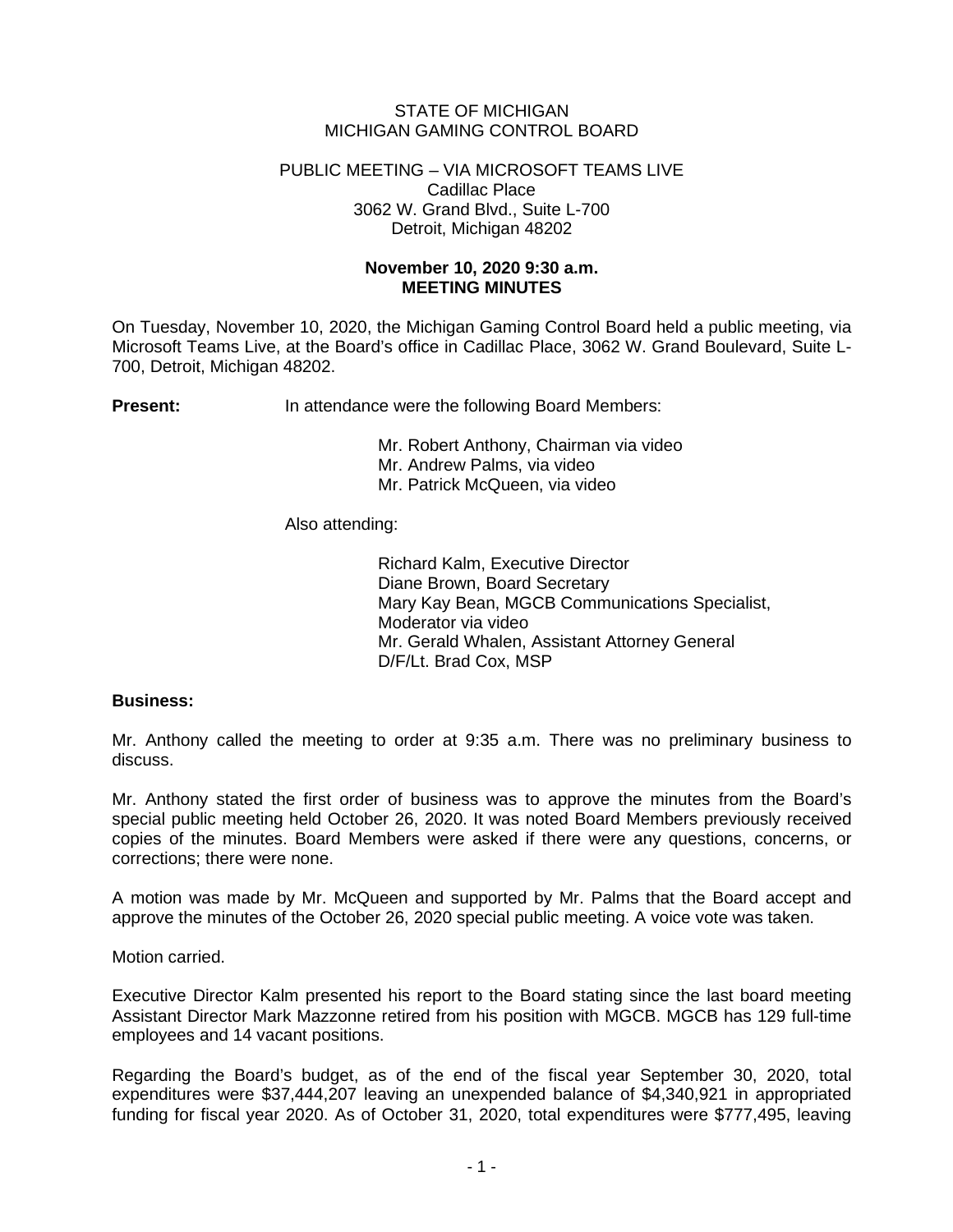## STATE OF MICHIGAN MICHIGAN GAMING CONTROL BOARD

#### PUBLIC MEETING – VIA MICROSOFT TEAMS LIVE Cadillac Place 3062 W. Grand Blvd., Suite L-700 Detroit, Michigan 48202

# **November 10, 2020 9:30 a.m. MEETING MINUTES**

On Tuesday, November 10, 2020, the Michigan Gaming Control Board held a public meeting, via Microsoft Teams Live, at the Board's office in Cadillac Place, 3062 W. Grand Boulevard, Suite L-700, Detroit, Michigan 48202.

**Present:** In attendance were the following Board Members:

Mr. Robert Anthony, Chairman via video Mr. Andrew Palms, via video Mr. Patrick McQueen, via video

Also attending:

Richard Kalm, Executive Director Diane Brown, Board Secretary Mary Kay Bean, MGCB Communications Specialist, Moderator via video Mr. Gerald Whalen, Assistant Attorney General D/F/Lt. Brad Cox, MSP

### **Business:**

Mr. Anthony called the meeting to order at 9:35 a.m. There was no preliminary business to discuss.

Mr. Anthony stated the first order of business was to approve the minutes from the Board's special public meeting held October 26, 2020. It was noted Board Members previously received copies of the minutes. Board Members were asked if there were any questions, concerns, or corrections; there were none.

A motion was made by Mr. McQueen and supported by Mr. Palms that the Board accept and approve the minutes of the October 26, 2020 special public meeting. A voice vote was taken.

Motion carried.

Executive Director Kalm presented his report to the Board stating since the last board meeting Assistant Director Mark Mazzonne retired from his position with MGCB. MGCB has 129 full-time employees and 14 vacant positions.

Regarding the Board's budget, as of the end of the fiscal year September 30, 2020, total expenditures were \$37,444,207 leaving an unexpended balance of \$4,340,921 in appropriated funding for fiscal year 2020. As of October 31, 2020, total expenditures were \$777,495, leaving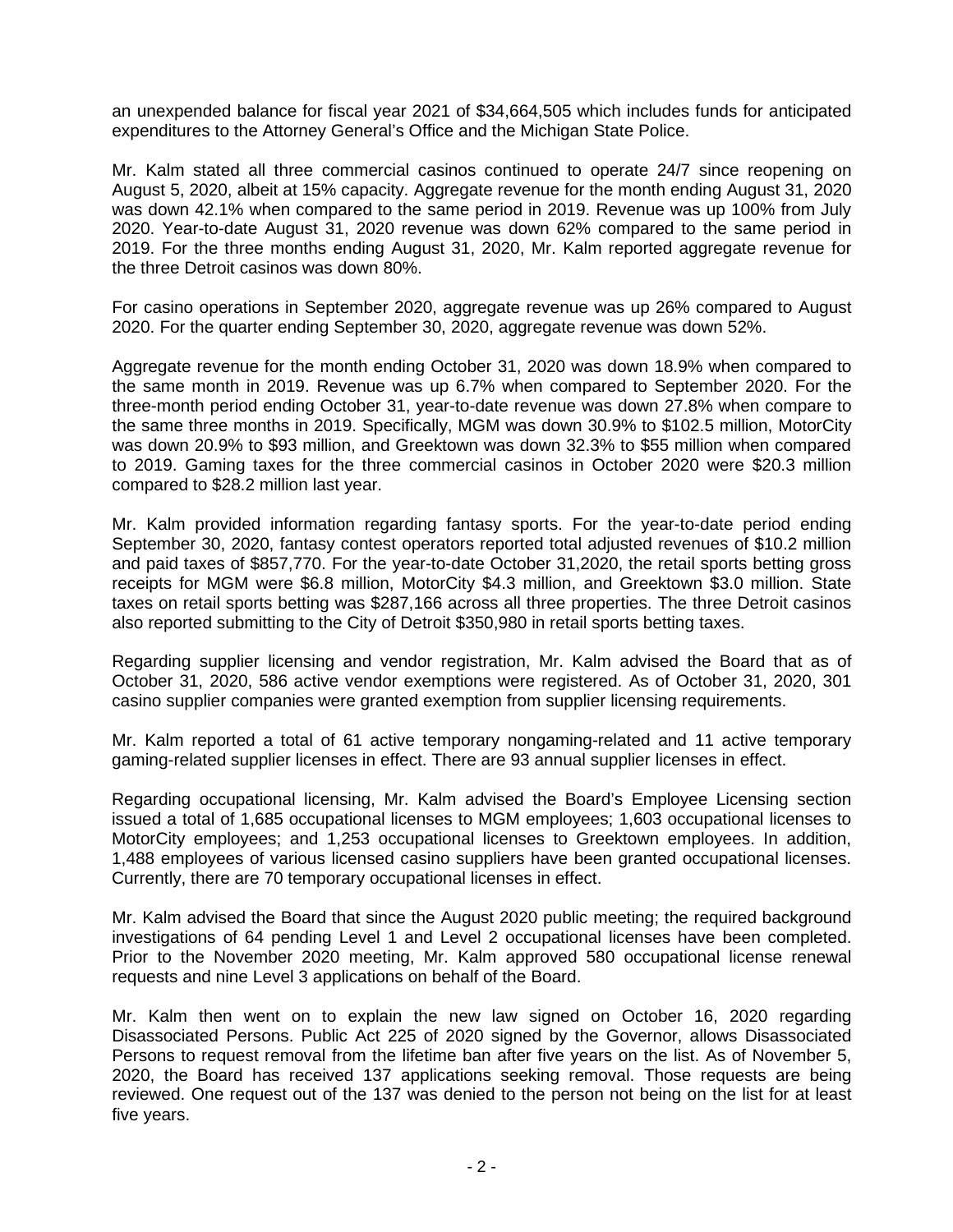an unexpended balance for fiscal year 2021 of \$34,664,505 which includes funds for anticipated expenditures to the Attorney General's Office and the Michigan State Police.

Mr. Kalm stated all three commercial casinos continued to operate 24/7 since reopening on August 5, 2020, albeit at 15% capacity. Aggregate revenue for the month ending August 31, 2020 was down 42.1% when compared to the same period in 2019. Revenue was up 100% from July 2020. Year-to-date August 31, 2020 revenue was down 62% compared to the same period in 2019. For the three months ending August 31, 2020, Mr. Kalm reported aggregate revenue for the three Detroit casinos was down 80%.

For casino operations in September 2020, aggregate revenue was up 26% compared to August 2020. For the quarter ending September 30, 2020, aggregate revenue was down 52%.

Aggregate revenue for the month ending October 31, 2020 was down 18.9% when compared to the same month in 2019. Revenue was up 6.7% when compared to September 2020. For the three-month period ending October 31, year-to-date revenue was down 27.8% when compare to the same three months in 2019. Specifically, MGM was down 30.9% to \$102.5 million, MotorCity was down 20.9% to \$93 million, and Greektown was down 32.3% to \$55 million when compared to 2019. Gaming taxes for the three commercial casinos in October 2020 were \$20.3 million compared to \$28.2 million last year.

Mr. Kalm provided information regarding fantasy sports. For the year-to-date period ending September 30, 2020, fantasy contest operators reported total adjusted revenues of \$10.2 million and paid taxes of \$857,770. For the year-to-date October 31,2020, the retail sports betting gross receipts for MGM were \$6.8 million, MotorCity \$4.3 million, and Greektown \$3.0 million. State taxes on retail sports betting was \$287,166 across all three properties. The three Detroit casinos also reported submitting to the City of Detroit \$350,980 in retail sports betting taxes.

Regarding supplier licensing and vendor registration, Mr. Kalm advised the Board that as of October 31, 2020, 586 active vendor exemptions were registered. As of October 31, 2020, 301 casino supplier companies were granted exemption from supplier licensing requirements.

Mr. Kalm reported a total of 61 active temporary nongaming-related and 11 active temporary gaming-related supplier licenses in effect. There are 93 annual supplier licenses in effect.

Regarding occupational licensing, Mr. Kalm advised the Board's Employee Licensing section issued a total of 1,685 occupational licenses to MGM employees; 1,603 occupational licenses to MotorCity employees; and 1,253 occupational licenses to Greektown employees. In addition, 1,488 employees of various licensed casino suppliers have been granted occupational licenses. Currently, there are 70 temporary occupational licenses in effect.

Mr. Kalm advised the Board that since the August 2020 public meeting; the required background investigations of 64 pending Level 1 and Level 2 occupational licenses have been completed. Prior to the November 2020 meeting, Mr. Kalm approved 580 occupational license renewal requests and nine Level 3 applications on behalf of the Board.

Mr. Kalm then went on to explain the new law signed on October 16, 2020 regarding Disassociated Persons. Public Act 225 of 2020 signed by the Governor, allows Disassociated Persons to request removal from the lifetime ban after five years on the list. As of November 5, 2020, the Board has received 137 applications seeking removal. Those requests are being reviewed. One request out of the 137 was denied to the person not being on the list for at least five years.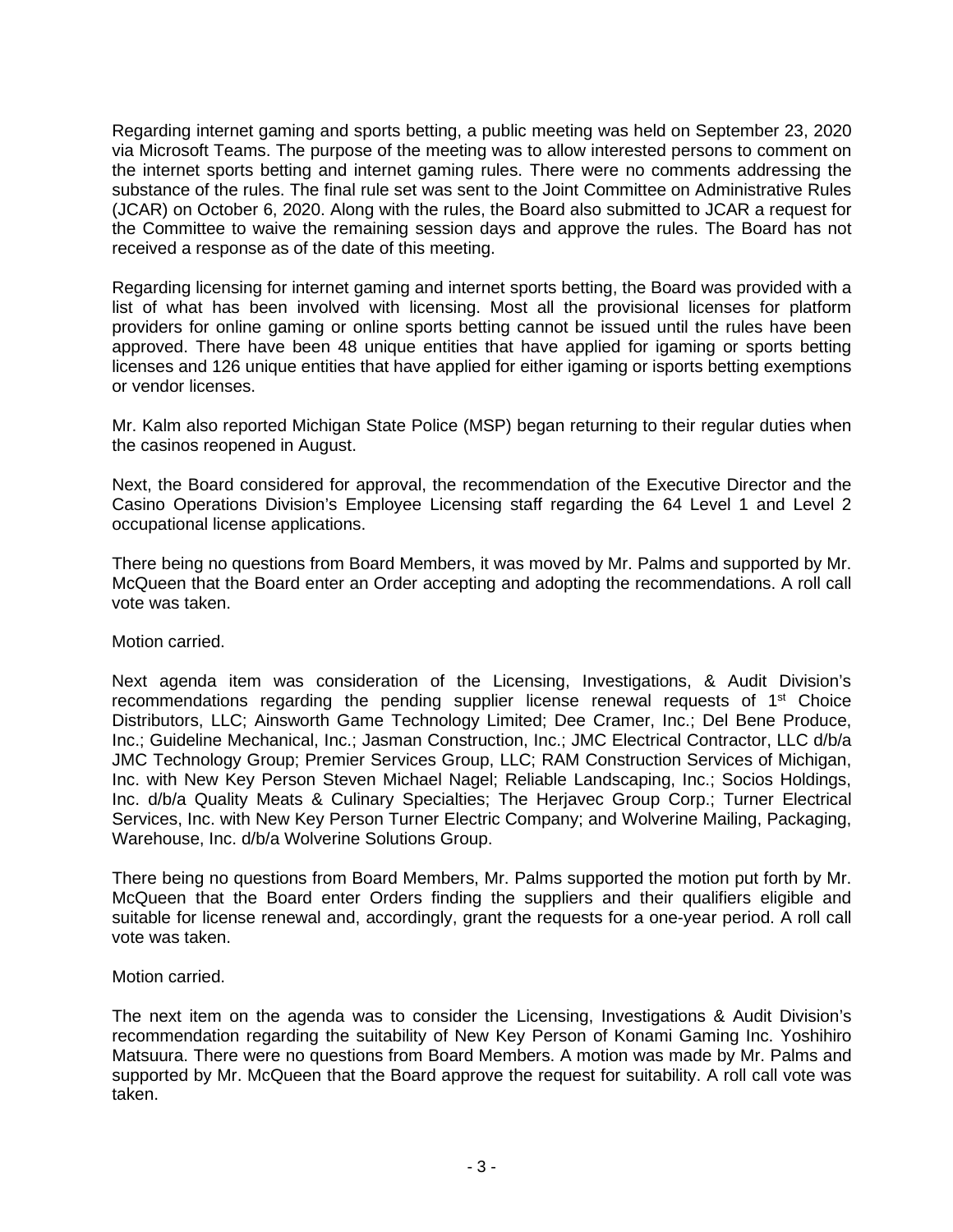Regarding internet gaming and sports betting, a public meeting was held on September 23, 2020 via Microsoft Teams. The purpose of the meeting was to allow interested persons to comment on the internet sports betting and internet gaming rules. There were no comments addressing the substance of the rules. The final rule set was sent to the Joint Committee on Administrative Rules (JCAR) on October 6, 2020. Along with the rules, the Board also submitted to JCAR a request for the Committee to waive the remaining session days and approve the rules. The Board has not received a response as of the date of this meeting.

Regarding licensing for internet gaming and internet sports betting, the Board was provided with a list of what has been involved with licensing. Most all the provisional licenses for platform providers for online gaming or online sports betting cannot be issued until the rules have been approved. There have been 48 unique entities that have applied for igaming or sports betting licenses and 126 unique entities that have applied for either igaming or isports betting exemptions or vendor licenses.

Mr. Kalm also reported Michigan State Police (MSP) began returning to their regular duties when the casinos reopened in August.

Next, the Board considered for approval, the recommendation of the Executive Director and the Casino Operations Division's Employee Licensing staff regarding the 64 Level 1 and Level 2 occupational license applications.

There being no questions from Board Members, it was moved by Mr. Palms and supported by Mr. McQueen that the Board enter an Order accepting and adopting the recommendations. A roll call vote was taken.

Motion carried.

Next agenda item was consideration of the Licensing, Investigations, & Audit Division's recommendations regarding the pending supplier license renewal requests of  $1<sup>st</sup>$  Choice Distributors, LLC; Ainsworth Game Technology Limited; Dee Cramer, Inc.; Del Bene Produce, Inc.; Guideline Mechanical, Inc.; Jasman Construction, Inc.; JMC Electrical Contractor, LLC d/b/a JMC Technology Group; Premier Services Group, LLC; RAM Construction Services of Michigan, Inc. with New Key Person Steven Michael Nagel; Reliable Landscaping, Inc.; Socios Holdings, Inc. d/b/a Quality Meats & Culinary Specialties; The Herjavec Group Corp.; Turner Electrical Services, Inc. with New Key Person Turner Electric Company; and Wolverine Mailing, Packaging, Warehouse, Inc. d/b/a Wolverine Solutions Group.

There being no questions from Board Members, Mr. Palms supported the motion put forth by Mr. McQueen that the Board enter Orders finding the suppliers and their qualifiers eligible and suitable for license renewal and, accordingly, grant the requests for a one-year period. A roll call vote was taken.

Motion carried.

The next item on the agenda was to consider the Licensing, Investigations & Audit Division's recommendation regarding the suitability of New Key Person of Konami Gaming Inc. Yoshihiro Matsuura. There were no questions from Board Members. A motion was made by Mr. Palms and supported by Mr. McQueen that the Board approve the request for suitability. A roll call vote was taken.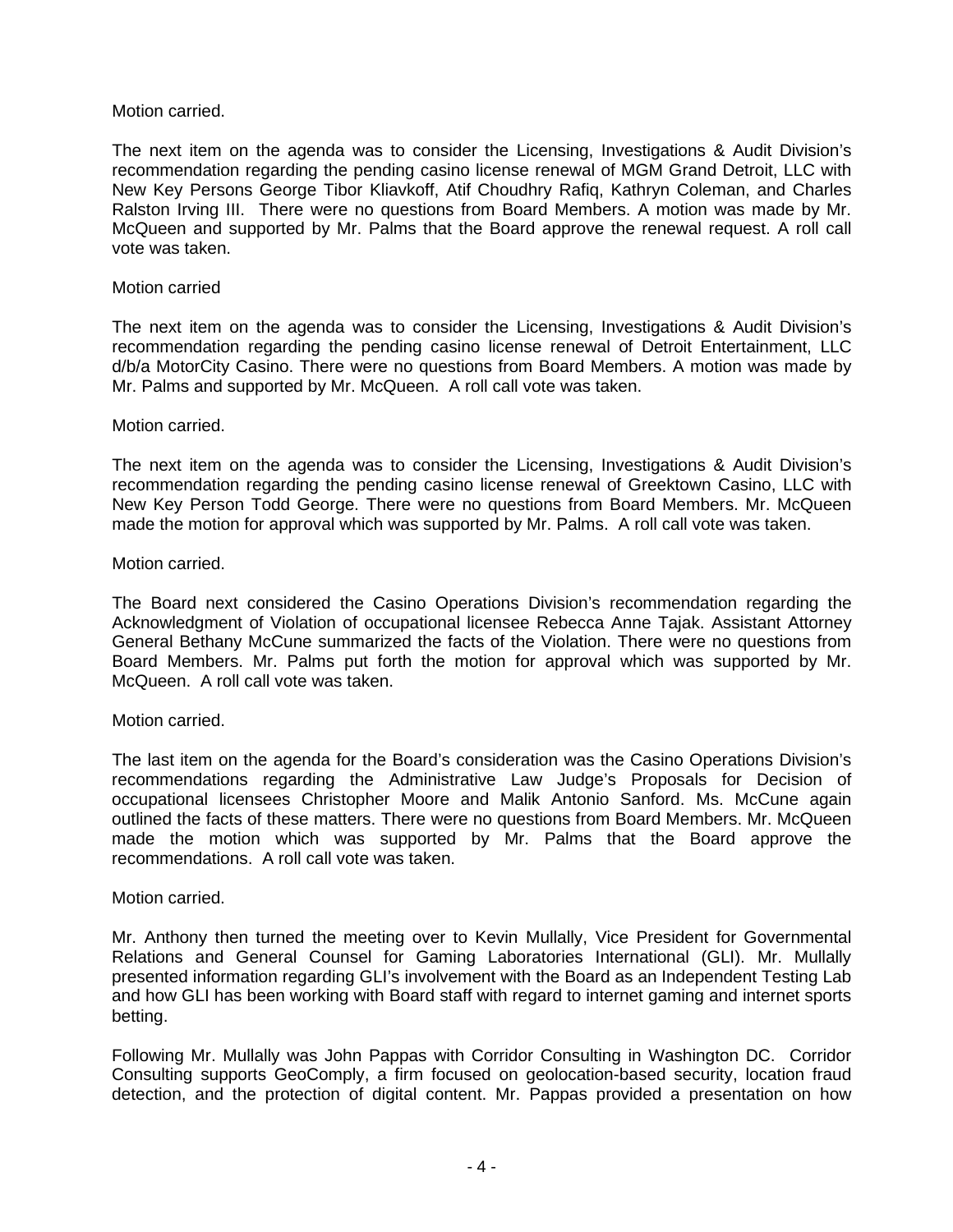## Motion carried.

The next item on the agenda was to consider the Licensing, Investigations & Audit Division's recommendation regarding the pending casino license renewal of MGM Grand Detroit, LLC with New Key Persons George Tibor Kliavkoff, Atif Choudhry Rafiq, Kathryn Coleman, and Charles Ralston Irving III. There were no questions from Board Members. A motion was made by Mr. McQueen and supported by Mr. Palms that the Board approve the renewal request. A roll call vote was taken.

## Motion carried

The next item on the agenda was to consider the Licensing, Investigations & Audit Division's recommendation regarding the pending casino license renewal of Detroit Entertainment, LLC d/b/a MotorCity Casino. There were no questions from Board Members. A motion was made by Mr. Palms and supported by Mr. McQueen. A roll call vote was taken.

### Motion carried.

The next item on the agenda was to consider the Licensing, Investigations & Audit Division's recommendation regarding the pending casino license renewal of Greektown Casino, LLC with New Key Person Todd George. There were no questions from Board Members. Mr. McQueen made the motion for approval which was supported by Mr. Palms. A roll call vote was taken.

# Motion carried.

The Board next considered the Casino Operations Division's recommendation regarding the Acknowledgment of Violation of occupational licensee Rebecca Anne Tajak. Assistant Attorney General Bethany McCune summarized the facts of the Violation. There were no questions from Board Members. Mr. Palms put forth the motion for approval which was supported by Mr. McQueen. A roll call vote was taken.

### Motion carried.

The last item on the agenda for the Board's consideration was the Casino Operations Division's recommendations regarding the Administrative Law Judge's Proposals for Decision of occupational licensees Christopher Moore and Malik Antonio Sanford. Ms. McCune again outlined the facts of these matters. There were no questions from Board Members. Mr. McQueen made the motion which was supported by Mr. Palms that the Board approve the recommendations. A roll call vote was taken.

### Motion carried.

Mr. Anthony then turned the meeting over to Kevin Mullally, Vice President for Governmental Relations and General Counsel for Gaming Laboratories International (GLI). Mr. Mullally presented information regarding GLI's involvement with the Board as an Independent Testing Lab and how GLI has been working with Board staff with regard to internet gaming and internet sports betting.

Following Mr. Mullally was John Pappas with Corridor Consulting in Washington DC. Corridor Consulting supports GeoComply, a firm focused on geolocation-based security, location fraud detection, and the protection of digital content. Mr. Pappas provided a presentation on how